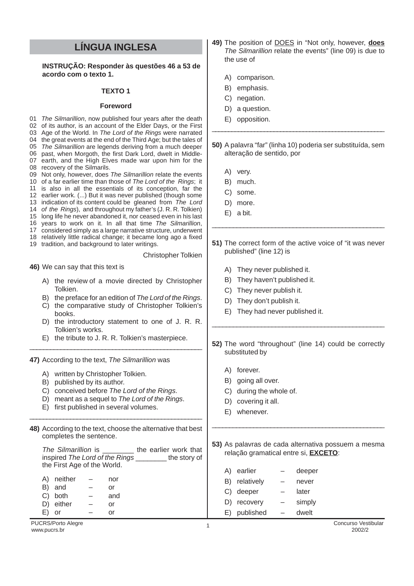## **LÍNGUA INGLESA**

**INSTRUÇÃO: Responder às questões 46 a 53 de acordo com o texto 1.**

## **TEXTO 1**

## **Foreword**

PUCRS/Porto Alegre Concurso Vestibular<br>
MAN DUCRS https://www.pucrs.hr/ 2002/2 PUCRS/PUID Alegre **2002/2**<br>www.pucrs.br 2002/2 01 The Silmarillion, now published four years after the death 02 of its author, is an account of the Elder Days, or the First 03 Age of the World. In The Lord of the Rings were narrated 04 the great events at the end of the Third Age; but the tales of 05 The Silmarillion are legends deriving from a much deeper 06 past, when Morgoth, the first Dark Lord, dwelt in Middle-07 earth, and the High Elves made war upon him for the 08 recovery of the Silmarils. 09 Not only, however, does The Silmarillion relate the events 10 of a far earlier time than those of The Lord of the Rings; it 11 is also in all the essentials of its conception, far the 12 earlier work. (...) But it was never published (though some 13 indication of its content could be gleaned from The Lord 14 of the Rings), and throughout my father's (J. R. R. Tolkien) 15 long life he never abandoned it, nor ceased even in his last 16 years to work on it. In all that time The Silmarillion, 17 considered simply as a large narrative structure, underwent 18 relatively little radical change; it became long ago a fixed 19 tradition, and background to later writings. **46)** We can say that this text is A) the review of a movie directed by Christopher Tolkien. B) the preface for an edition of The Lord of the Rings. C) the comparative study of Christopher Tolkien's books. D) the introductory statement to one of J. R. R. Tolkien's works. E) the tribute to J. R. R. Tolkien's masterpiece. \_\_\_\_\_\_\_\_\_\_\_\_\_\_\_\_\_\_\_\_\_\_\_\_\_\_\_\_\_\_\_\_\_\_\_\_\_\_\_\_\_\_\_\_\_\_\_\_\_\_ **47)** According to the text, The Silmarillion was A) written by Christopher Tolkien. B) published by its author. C) conceived before The Lord of the Rings. D) meant as a sequel to The Lord of the Rings. E) first published in several volumes. \_\_\_\_\_\_\_\_\_\_\_\_\_\_\_\_\_\_\_\_\_\_\_\_\_\_\_\_\_\_\_\_\_\_\_\_\_\_\_\_\_\_\_\_\_\_\_\_\_\_\_ **48)** According to the text, choose the alternative that best completes the sentence. The Silmarillion is \_\_\_\_\_\_\_\_ the earlier work that inspired The Lord of the Rings the story of the First Age of the World. A) neither – nor B) and  $-$  or C) both – and D) either – or E) or – or \_\_\_\_\_\_\_\_\_\_\_\_\_\_\_\_\_\_\_\_\_\_\_\_\_\_\_\_\_\_\_\_\_\_\_\_\_\_\_\_\_\_\_\_\_\_\_\_\_\_\_\_\_ \_\_\_\_\_\_\_\_\_\_\_\_\_\_\_\_\_\_\_\_\_\_\_\_\_\_\_\_\_\_\_\_\_\_\_\_\_\_\_\_\_\_\_\_\_\_\_\_\_ \_\_\_\_\_\_\_\_\_\_\_\_\_\_\_\_\_\_\_\_\_\_\_\_\_\_\_\_\_\_\_\_\_\_\_\_\_\_\_\_\_\_\_\_\_\_\_\_\_ \_\_\_\_\_\_\_\_\_\_\_\_\_\_\_\_\_\_\_\_\_\_\_\_\_\_\_\_\_\_\_\_\_\_\_\_\_\_\_\_\_\_\_\_\_\_\_\_\_\_ Christopher Tolkien

- **49)** The position of DOES in "Not only, however, **does** The Silmarillion relate the events" (line 09) is due to the use of
	- A) comparison.
	- B) emphasis.
	- C) negation.
	- D) a question.
	- E) opposition.
- **50)** A palavra "far" (linha 10) poderia ser substituída, sem alteração de sentido, por
	- A) very.
	- B) much.
	- C) some.
	- D) more.
	- E) a bit.
- **51)** The correct form of the active voice of "it was never published" (line 12) is
	- A) They never published it.
	- B) They haven't published it.
	- C) They never publish it.
	- D) They don't publish it.
	- E) They had never published it.
- **52)** The word "throughout" (line 14) could be correctly substituted by
	- A) forever.
	- B) going all over.
	- C) during the whole of.
	- D) covering it all.
	- E) whenever.

**53)** As palavras de cada alternativa possuem a mesma relação gramatical entre si, **EXCETO**:

|     | A) earlier    |                          | deeper |
|-----|---------------|--------------------------|--------|
|     | B) relatively | -                        | never  |
|     | C) deeper     | $\overline{\phantom{0}}$ | later  |
| D)  | recovery      |                          | simply |
| E). | published     |                          | dwelt  |